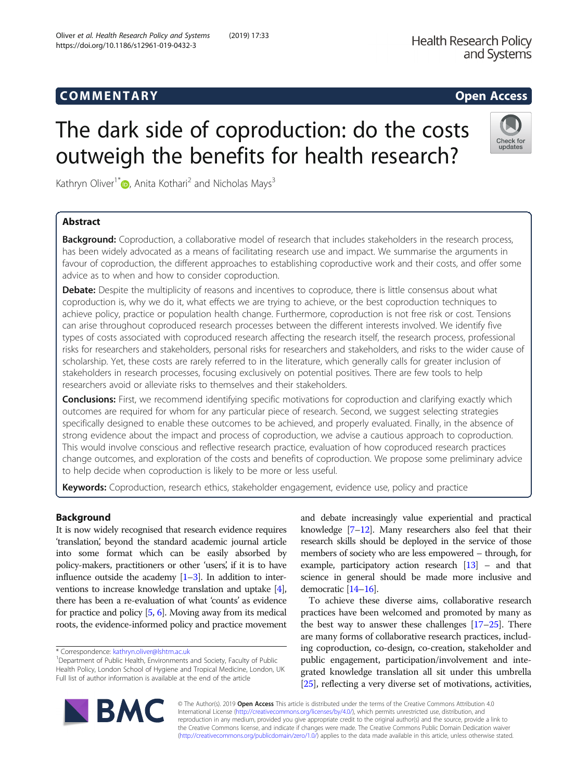https://doi.org/10.1186/s12961-019-0432-3

# COMM EN TARY Open Access

Check for undates

# The dark side of coproduction: do the costs outweigh the benefits for health research?

Kathryn Oliver<sup>1[\\*](http://orcid.org/0000-0002-4326-5258)</sup> **D**, Anita Kothari<sup>2</sup> and Nicholas Mays<sup>3</sup>

# Abstract

Background: Coproduction, a collaborative model of research that includes stakeholders in the research process, has been widely advocated as a means of facilitating research use and impact. We summarise the arguments in favour of coproduction, the different approaches to establishing coproductive work and their costs, and offer some advice as to when and how to consider coproduction.

Debate: Despite the multiplicity of reasons and incentives to coproduce, there is little consensus about what coproduction is, why we do it, what effects we are trying to achieve, or the best coproduction techniques to achieve policy, practice or population health change. Furthermore, coproduction is not free risk or cost. Tensions can arise throughout coproduced research processes between the different interests involved. We identify five types of costs associated with coproduced research affecting the research itself, the research process, professional risks for researchers and stakeholders, personal risks for researchers and stakeholders, and risks to the wider cause of scholarship. Yet, these costs are rarely referred to in the literature, which generally calls for greater inclusion of stakeholders in research processes, focusing exclusively on potential positives. There are few tools to help researchers avoid or alleviate risks to themselves and their stakeholders.

**Conclusions:** First, we recommend identifying specific motivations for coproduction and clarifying exactly which outcomes are required for whom for any particular piece of research. Second, we suggest selecting strategies specifically designed to enable these outcomes to be achieved, and properly evaluated. Finally, in the absence of strong evidence about the impact and process of coproduction, we advise a cautious approach to coproduction. This would involve conscious and reflective research practice, evaluation of how coproduced research practices change outcomes, and exploration of the costs and benefits of coproduction. We propose some preliminary advice to help decide when coproduction is likely to be more or less useful.

Keywords: Coproduction, research ethics, stakeholder engagement, evidence use, policy and practice

## Background

It is now widely recognised that research evidence requires 'translation, beyond the standard academic journal article ' into some format which can be easily absorbed by policy-makers, practitioners or other 'users', if it is to have influence outside the academy  $[1-3]$  $[1-3]$  $[1-3]$  $[1-3]$ . In addition to interventions to increase knowledge translation and uptake [[4](#page-7-0)], there has been a re-evaluation of what 'counts' as evidence for practice and policy [\[5,](#page-7-0) [6\]](#page-7-0). Moving away from its medical roots, the evidence-informed policy and practice movement

\* Correspondence: [kathryn.oliver@lshtm.ac.uk](mailto:kathryn.oliver@lshtm.ac.uk) <sup>1</sup>

<sup>1</sup>Department of Public Health, Environments and Society, Faculty of Public Health Policy, London School of Hygiene and Tropical Medicine, London, UK Full list of author information is available at the end of the article

and debate increasingly value experiential and practical knowledge [[7](#page-7-0)–[12\]](#page-7-0). Many researchers also feel that their research skills should be deployed in the service of those members of society who are less empowered – through, for example, participatory action research [\[13\]](#page-7-0) – and that science in general should be made more inclusive and democratic [\[14](#page-7-0)–[16\]](#page-7-0).

To achieve these diverse aims, collaborative research practices have been welcomed and promoted by many as the best way to answer these challenges  $[17–25]$  $[17–25]$  $[17–25]$  $[17–25]$ . There are many forms of collaborative research practices, including coproduction, co-design, co-creation, stakeholder and public engagement, participation/involvement and integrated knowledge translation all sit under this umbrella [[25](#page-8-0)], reflecting a very diverse set of motivations, activities,



© The Author(s). 2019 **Open Access** This article is distributed under the terms of the Creative Commons Attribution 4.0 International License [\(http://creativecommons.org/licenses/by/4.0/](http://creativecommons.org/licenses/by/4.0/)), which permits unrestricted use, distribution, and reproduction in any medium, provided you give appropriate credit to the original author(s) and the source, provide a link to the Creative Commons license, and indicate if changes were made. The Creative Commons Public Domain Dedication waiver [\(http://creativecommons.org/publicdomain/zero/1.0/](http://creativecommons.org/publicdomain/zero/1.0/)) applies to the data made available in this article, unless otherwise stated.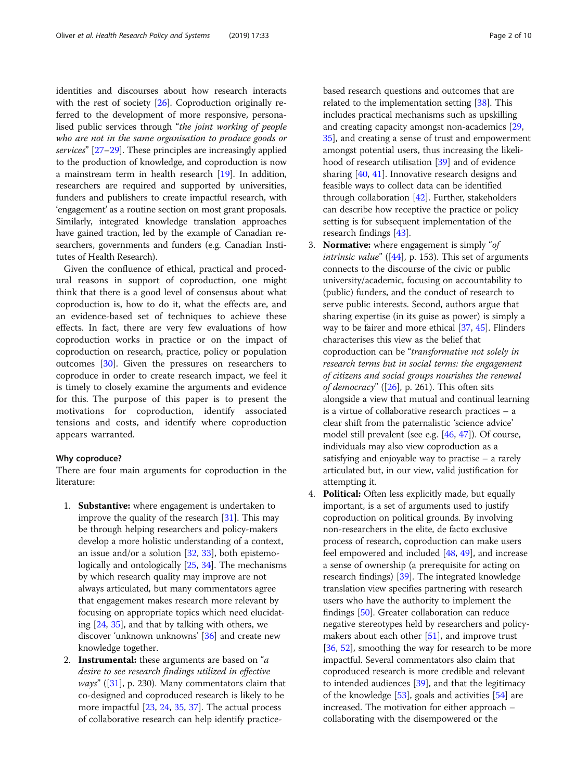identities and discourses about how research interacts with the rest of society [\[26](#page-8-0)]. Coproduction originally referred to the development of more responsive, personalised public services through "the joint working of people who are not in the same organisation to produce goods or services" [[27](#page-8-0)–[29\]](#page-8-0). These principles are increasingly applied to the production of knowledge, and coproduction is now a mainstream term in health research [\[19\]](#page-7-0). In addition, researchers are required and supported by universities, funders and publishers to create impactful research, with 'engagement' as a routine section on most grant proposals. Similarly, integrated knowledge translation approaches have gained traction, led by the example of Canadian researchers, governments and funders (e.g. Canadian Institutes of Health Research).

Given the confluence of ethical, practical and procedural reasons in support of coproduction, one might think that there is a good level of consensus about what coproduction is, how to do it, what the effects are, and an evidence-based set of techniques to achieve these effects. In fact, there are very few evaluations of how coproduction works in practice or on the impact of coproduction on research, practice, policy or population outcomes [[30](#page-8-0)]. Given the pressures on researchers to coproduce in order to create research impact, we feel it is timely to closely examine the arguments and evidence for this. The purpose of this paper is to present the motivations for coproduction, identify associated tensions and costs, and identify where coproduction appears warranted.

#### Why coproduce?

There are four main arguments for coproduction in the literature:

- 1. Substantive: where engagement is undertaken to improve the quality of the research [\[31\]](#page-8-0). This may be through helping researchers and policy-makers develop a more holistic understanding of a context, an issue and/or a solution [[32](#page-8-0), [33](#page-8-0)], both epistemologically and ontologically [\[25](#page-8-0), [34\]](#page-8-0). The mechanisms by which research quality may improve are not always articulated, but many commentators agree that engagement makes research more relevant by focusing on appropriate topics which need elucidating [[24](#page-8-0), [35](#page-8-0)], and that by talking with others, we discover 'unknown unknowns' [\[36\]](#page-8-0) and create new knowledge together.
- 2. **Instrumental:** these arguments are based on " $a$ desire to see research findings utilized in effective *ways*" ([\[31\]](#page-8-0), p. 230). Many commentators claim that co-designed and coproduced research is likely to be more impactful [\[23,](#page-8-0) [24,](#page-8-0) [35](#page-8-0), [37\]](#page-8-0). The actual process of collaborative research can help identify practice-

based research questions and outcomes that are related to the implementation setting [[38](#page-8-0)]. This includes practical mechanisms such as upskilling and creating capacity amongst non-academics [[29,](#page-8-0) [35\]](#page-8-0), and creating a sense of trust and empowerment amongst potential users, thus increasing the likelihood of research utilisation [[39](#page-8-0)] and of evidence sharing [[40](#page-8-0), [41](#page-8-0)]. Innovative research designs and feasible ways to collect data can be identified through collaboration [\[42\]](#page-8-0). Further, stakeholders can describe how receptive the practice or policy setting is for subsequent implementation of the research findings [[43](#page-8-0)].

- 3. Normative: where engagement is simply "of *intrinsic value*" ( $[44]$  $[44]$  $[44]$ , p. 153). This set of arguments connects to the discourse of the civic or public university/academic, focusing on accountability to (public) funders, and the conduct of research to serve public interests. Second, authors argue that sharing expertise (in its guise as power) is simply a way to be fairer and more ethical [\[37,](#page-8-0) [45\]](#page-8-0). Flinders characterises this view as the belief that coproduction can be "transformative not solely in research terms but in social terms: the engagement of citizens and social groups nourishes the renewal of democracy" ( $[26]$  $[26]$ , p. 261). This often sits alongside a view that mutual and continual learning is a virtue of collaborative research practices – a clear shift from the paternalistic 'science advice' model still prevalent (see e.g. [\[46,](#page-8-0) [47\]](#page-8-0)). Of course, individuals may also view coproduction as a satisfying and enjoyable way to practise – a rarely articulated but, in our view, valid justification for attempting it.
- 4. Political: Often less explicitly made, but equally important, is a set of arguments used to justify coproduction on political grounds. By involving non-researchers in the elite, de facto exclusive process of research, coproduction can make users feel empowered and included [[48](#page-8-0), [49](#page-8-0)], and increase a sense of ownership (a prerequisite for acting on research findings) [[39](#page-8-0)]. The integrated knowledge translation view specifies partnering with research users who have the authority to implement the findings [\[50\]](#page-8-0). Greater collaboration can reduce negative stereotypes held by researchers and policymakers about each other  $[51]$  $[51]$ , and improve trust [[36](#page-8-0), [52\]](#page-8-0), smoothing the way for research to be more impactful. Several commentators also claim that coproduced research is more credible and relevant to intended audiences [[39](#page-8-0)], and that the legitimacy of the knowledge [[53](#page-8-0)], goals and activities [[54\]](#page-8-0) are increased. The motivation for either approach – collaborating with the disempowered or the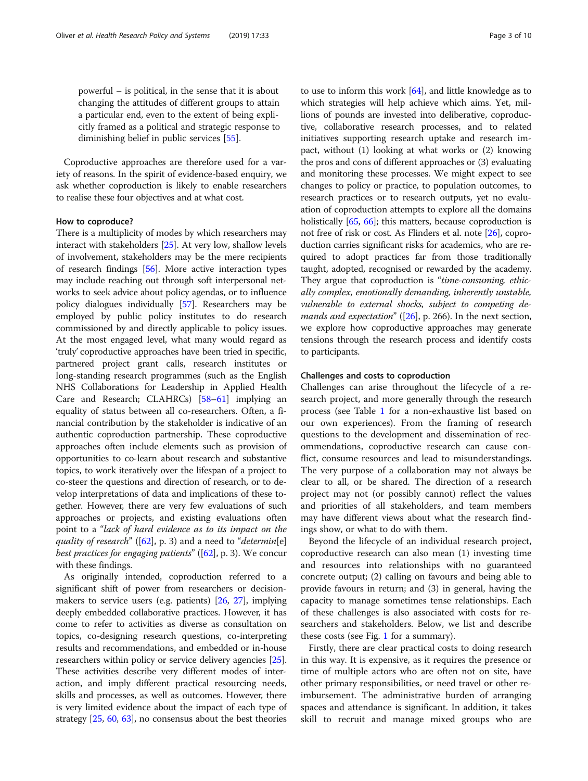powerful – is political, in the sense that it is about changing the attitudes of different groups to attain a particular end, even to the extent of being explicitly framed as a political and strategic response to diminishing belief in public services [\[55\]](#page-8-0).

Coproductive approaches are therefore used for a variety of reasons. In the spirit of evidence-based enquiry, we ask whether coproduction is likely to enable researchers to realise these four objectives and at what cost.

### How to coproduce?

There is a multiplicity of modes by which researchers may interact with stakeholders [\[25\]](#page-8-0). At very low, shallow levels of involvement, stakeholders may be the mere recipients of research findings [\[56](#page-8-0)]. More active interaction types may include reaching out through soft interpersonal networks to seek advice about policy agendas, or to influence policy dialogues individually [[57](#page-8-0)]. Researchers may be employed by public policy institutes to do research commissioned by and directly applicable to policy issues. At the most engaged level, what many would regard as 'truly' coproductive approaches have been tried in specific, partnered project grant calls, research institutes or long-standing research programmes (such as the English NHS Collaborations for Leadership in Applied Health Care and Research; CLAHRCs) [\[58](#page-8-0)–[61](#page-8-0)] implying an equality of status between all co-researchers. Often, a financial contribution by the stakeholder is indicative of an authentic coproduction partnership. These coproductive approaches often include elements such as provision of opportunities to co-learn about research and substantive topics, to work iteratively over the lifespan of a project to co-steer the questions and direction of research, or to develop interpretations of data and implications of these together. However, there are very few evaluations of such approaches or projects, and existing evaluations often point to a "lack of hard evidence as to its impact on the quality of research" ( $[62]$ , p. 3) and a need to "determin[e] best practices for engaging patients" ( $[62]$ , p. 3). We concur with these findings.

As originally intended, coproduction referred to a significant shift of power from researchers or decisionmakers to service users (e.g. patients) [[26](#page-8-0), [27](#page-8-0)], implying deeply embedded collaborative practices. However, it has come to refer to activities as diverse as consultation on topics, co-designing research questions, co-interpreting results and recommendations, and embedded or in-house researchers within policy or service delivery agencies [[25](#page-8-0)]. These activities describe very different modes of interaction, and imply different practical resourcing needs, skills and processes, as well as outcomes. However, there is very limited evidence about the impact of each type of strategy [[25](#page-8-0), [60](#page-8-0), [63\]](#page-8-0), no consensus about the best theories to use to inform this work [\[64\]](#page-8-0), and little knowledge as to which strategies will help achieve which aims. Yet, millions of pounds are invested into deliberative, coproductive, collaborative research processes, and to related initiatives supporting research uptake and research impact, without (1) looking at what works or (2) knowing the pros and cons of different approaches or (3) evaluating and monitoring these processes. We might expect to see changes to policy or practice, to population outcomes, to research practices or to research outputs, yet no evaluation of coproduction attempts to explore all the domains holistically [\[65](#page-8-0), [66](#page-8-0)]; this matters, because coproduction is not free of risk or cost. As Flinders et al. note [\[26\]](#page-8-0), coproduction carries significant risks for academics, who are required to adopt practices far from those traditionally taught, adopted, recognised or rewarded by the academy. They argue that coproduction is "time-consuming, ethically complex, emotionally demanding, inherently unstable, vulnerable to external shocks, subject to competing de*mands and expectation*" ( $[26]$ , p. 266). In the next section, we explore how coproductive approaches may generate tensions through the research process and identify costs to participants.

### Challenges and costs to coproduction

Challenges can arise throughout the lifecycle of a research project, and more generally through the research process (see Table [1](#page-3-0) for a non-exhaustive list based on our own experiences). From the framing of research questions to the development and dissemination of recommendations, coproductive research can cause conflict, consume resources and lead to misunderstandings. The very purpose of a collaboration may not always be clear to all, or be shared. The direction of a research project may not (or possibly cannot) reflect the values and priorities of all stakeholders, and team members may have different views about what the research findings show, or what to do with them.

Beyond the lifecycle of an individual research project, coproductive research can also mean (1) investing time and resources into relationships with no guaranteed concrete output; (2) calling on favours and being able to provide favours in return; and (3) in general, having the capacity to manage sometimes tense relationships. Each of these challenges is also associated with costs for researchers and stakeholders. Below, we list and describe these costs (see Fig. [1](#page-3-0) for a summary).

Firstly, there are clear practical costs to doing research in this way. It is expensive, as it requires the presence or time of multiple actors who are often not on site, have other primary responsibilities, or need travel or other reimbursement. The administrative burden of arranging spaces and attendance is significant. In addition, it takes skill to recruit and manage mixed groups who are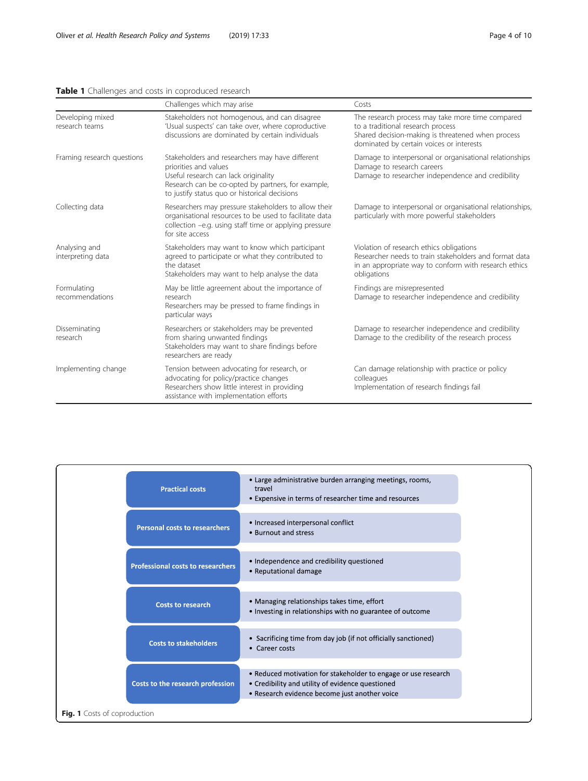# <span id="page-3-0"></span>Table 1 Challenges and costs in coproduced research

|                                    | Challenges which may arise                                                                                                                                                                                                                                                                              | Costs                                                                                                                                                                                  |
|------------------------------------|---------------------------------------------------------------------------------------------------------------------------------------------------------------------------------------------------------------------------------------------------------------------------------------------------------|----------------------------------------------------------------------------------------------------------------------------------------------------------------------------------------|
| Developing mixed<br>research teams | Stakeholders not homogenous, and can disagree<br>'Usual suspects' can take over, where coproductive<br>discussions are dominated by certain individuals                                                                                                                                                 | The research process may take more time compared<br>to a traditional research process<br>Shared decision-making is threatened when process<br>dominated by certain voices or interests |
| Framing research questions         | Stakeholders and researchers may have different<br>priorities and values<br>Useful research can lack originality<br>Research can be co-opted by partners, for example,<br>to justify status quo or historical decisions                                                                                 | Damage to interpersonal or organisational relationships<br>Damage to research careers<br>Damage to researcher independence and credibility                                             |
| Collecting data                    | Researchers may pressure stakeholders to allow their<br>Damage to interpersonal or organisational relationships,<br>particularly with more powerful stakeholders<br>organisational resources to be used to facilitate data<br>collection -e.g. using staff time or applying pressure<br>for site access |                                                                                                                                                                                        |
| Analysing and<br>interpreting data | Stakeholders may want to know which participant<br>agreed to participate or what they contributed to<br>the dataset<br>Stakeholders may want to help analyse the data                                                                                                                                   | Violation of research ethics obligations<br>Researcher needs to train stakeholders and format data<br>in an appropriate way to conform with research ethics<br>obligations             |
| Formulating<br>recommendations     | May be little agreement about the importance of<br>research<br>Researchers may be pressed to frame findings in<br>particular ways                                                                                                                                                                       | Findings are misrepresented<br>Damage to researcher independence and credibility                                                                                                       |
| Disseminating<br>research          | Researchers or stakeholders may be prevented<br>Damage to researcher independence and credibility<br>from sharing unwanted findings<br>Damage to the credibility of the research process<br>Stakeholders may want to share findings before<br>researchers are ready                                     |                                                                                                                                                                                        |
| Implementing change                | Tension between advocating for research, or<br>advocating for policy/practice changes<br>Researchers show little interest in providing<br>assistance with implementation efforts                                                                                                                        | Can damage relationship with practice or policy<br>colleagues<br>Implementation of research findings fail                                                                              |

| <b>Practical costs</b>                   | • Large administrative burden arranging meetings, rooms,<br>travel<br>• Expensive in terms of researcher time and resources                                         |  |  |  |
|------------------------------------------|---------------------------------------------------------------------------------------------------------------------------------------------------------------------|--|--|--|
| <b>Personal costs to researchers</b>     | • Increased interpersonal conflict<br>• Burnout and stress                                                                                                          |  |  |  |
| <b>Professional costs to researchers</b> | • Independence and credibility questioned<br>• Reputational damage                                                                                                  |  |  |  |
| <b>Costs to research</b>                 | • Managing relationships takes time, effort<br>• Investing in relationships with no guarantee of outcome                                                            |  |  |  |
| <b>Costs to stakeholders</b>             | • Sacrificing time from day job (if not officially sanctioned)<br>• Career costs                                                                                    |  |  |  |
| Costs to the research profession         | • Reduced motivation for stakeholder to engage or use research<br>• Credibility and utility of evidence questioned<br>• Research evidence become just another voice |  |  |  |
| Fig. 1 Costs of coproduction             |                                                                                                                                                                     |  |  |  |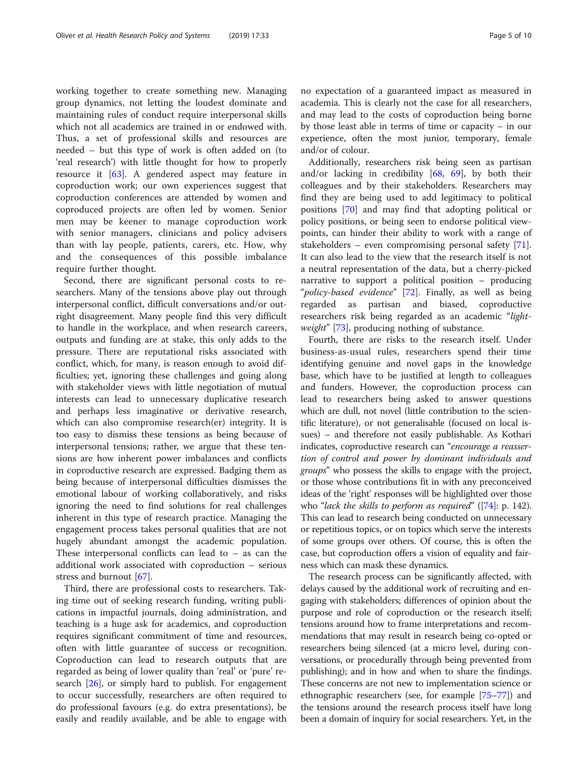working together to create something new. Managing group dynamics, not letting the loudest dominate and maintaining rules of conduct require interpersonal skills which not all academics are trained in or endowed with. Thus, a set of professional skills and resources are needed – but this type of work is often added on (to 'real research') with little thought for how to properly resource it [\[63](#page-8-0)]. A gendered aspect may feature in coproduction work; our own experiences suggest that coproduction conferences are attended by women and coproduced projects are often led by women. Senior men may be keener to manage coproduction work with senior managers, clinicians and policy advisers than with lay people, patients, carers, etc. How, why and the consequences of this possible imbalance require further thought.

Second, there are significant personal costs to researchers. Many of the tensions above play out through interpersonal conflict, difficult conversations and/or outright disagreement. Many people find this very difficult to handle in the workplace, and when research careers, outputs and funding are at stake, this only adds to the pressure. There are reputational risks associated with conflict, which, for many, is reason enough to avoid difficulties; yet, ignoring these challenges and going along with stakeholder views with little negotiation of mutual interests can lead to unnecessary duplicative research and perhaps less imaginative or derivative research, which can also compromise research(er) integrity. It is too easy to dismiss these tensions as being because of interpersonal tensions; rather, we argue that these tensions are how inherent power imbalances and conflicts in coproductive research are expressed. Badging them as being because of interpersonal difficulties dismisses the emotional labour of working collaboratively, and risks ignoring the need to find solutions for real challenges inherent in this type of research practice. Managing the engagement process takes personal qualities that are not hugely abundant amongst the academic population. These interpersonal conflicts can lead to  $-$  as can the additional work associated with coproduction – serious stress and burnout [\[67](#page-8-0)].

Third, there are professional costs to researchers. Taking time out of seeking research funding, writing publications in impactful journals, doing administration, and teaching is a huge ask for academics, and coproduction requires significant commitment of time and resources, often with little guarantee of success or recognition. Coproduction can lead to research outputs that are regarded as being of lower quality than 'real' or 'pure' research [[26\]](#page-8-0), or simply hard to publish. For engagement to occur successfully, researchers are often required to do professional favours (e.g. do extra presentations), be easily and readily available, and be able to engage with no expectation of a guaranteed impact as measured in academia. This is clearly not the case for all researchers, and may lead to the costs of coproduction being borne by those least able in terms of time or capacity – in our experience, often the most junior, temporary, female and/or of colour.

Additionally, researchers risk being seen as partisan and/or lacking in credibility [\[68](#page-8-0), [69\]](#page-8-0), by both their colleagues and by their stakeholders. Researchers may find they are being used to add legitimacy to political positions [[70](#page-8-0)] and may find that adopting political or policy positions, or being seen to endorse political viewpoints, can hinder their ability to work with a range of stakeholders – even compromising personal safety [\[71](#page-9-0)]. It can also lead to the view that the research itself is not a neutral representation of the data, but a cherry-picked narrative to support a political position – producing "*policy-based evidence*" [[72\]](#page-9-0). Finally, as well as being regarded as partisan and biased, coproductive researchers risk being regarded as an academic "light-weight" [\[73](#page-9-0)], producing nothing of substance.

Fourth, there are risks to the research itself. Under business-as-usual rules, researchers spend their time identifying genuine and novel gaps in the knowledge base, which have to be justified at length to colleagues and funders. However, the coproduction process can lead to researchers being asked to answer questions which are dull, not novel (little contribution to the scientific literature), or not generalisable (focused on local issues) – and therefore not easily publishable. As Kothari indicates, coproductive research can "encourage a reassertion of control and power by dominant individuals and groups" who possess the skills to engage with the project, or those whose contributions fit in with any preconceived ideas of the 'right' responses will be highlighted over those who "lack the skills to perform as required"  $([74] : p. 142)$  $([74] : p. 142)$  $([74] : p. 142)$ . This can lead to research being conducted on unnecessary or repetitious topics, or on topics which serve the interests of some groups over others. Of course, this is often the case, but coproduction offers a vision of equality and fairness which can mask these dynamics.

The research process can be significantly affected, with delays caused by the additional work of recruiting and engaging with stakeholders; differences of opinion about the purpose and role of coproduction or the research itself; tensions around how to frame interpretations and recommendations that may result in research being co-opted or researchers being silenced (at a micro level, during conversations, or procedurally through being prevented from publishing); and in how and when to share the findings. These concerns are not new to implementation science or ethnographic researchers (see, for example [\[75](#page-9-0)–[77](#page-9-0)]) and the tensions around the research process itself have long been a domain of inquiry for social researchers. Yet, in the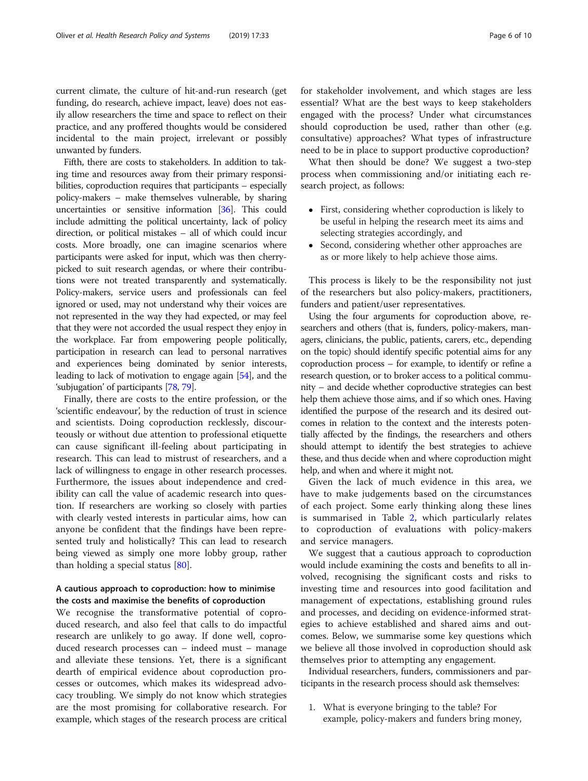current climate, the culture of hit-and-run research (get funding, do research, achieve impact, leave) does not easily allow researchers the time and space to reflect on their practice, and any proffered thoughts would be considered incidental to the main project, irrelevant or possibly unwanted by funders.

Fifth, there are costs to stakeholders. In addition to taking time and resources away from their primary responsibilities, coproduction requires that participants – especially policy-makers – make themselves vulnerable, by sharing uncertainties or sensitive information [\[36](#page-8-0)]. This could include admitting the political uncertainty, lack of policy direction, or political mistakes – all of which could incur costs. More broadly, one can imagine scenarios where participants were asked for input, which was then cherrypicked to suit research agendas, or where their contributions were not treated transparently and systematically. Policy-makers, service users and professionals can feel ignored or used, may not understand why their voices are not represented in the way they had expected, or may feel that they were not accorded the usual respect they enjoy in the workplace. Far from empowering people politically, participation in research can lead to personal narratives and experiences being dominated by senior interests, leading to lack of motivation to engage again [[54](#page-8-0)], and the 'subjugation' of participants [\[78,](#page-9-0) [79\]](#page-9-0).

Finally, there are costs to the entire profession, or the 'scientific endeavour', by the reduction of trust in science and scientists. Doing coproduction recklessly, discourteously or without due attention to professional etiquette can cause significant ill-feeling about participating in research. This can lead to mistrust of researchers, and a lack of willingness to engage in other research processes. Furthermore, the issues about independence and credibility can call the value of academic research into question. If researchers are working so closely with parties with clearly vested interests in particular aims, how can anyone be confident that the findings have been represented truly and holistically? This can lead to research being viewed as simply one more lobby group, rather than holding a special status [\[80](#page-9-0)].

## A cautious approach to coproduction: how to minimise the costs and maximise the benefits of coproduction

We recognise the transformative potential of coproduced research, and also feel that calls to do impactful research are unlikely to go away. If done well, coproduced research processes can – indeed must – manage and alleviate these tensions. Yet, there is a significant dearth of empirical evidence about coproduction processes or outcomes, which makes its widespread advocacy troubling. We simply do not know which strategies are the most promising for collaborative research. For example, which stages of the research process are critical for stakeholder involvement, and which stages are less essential? What are the best ways to keep stakeholders engaged with the process? Under what circumstances should coproduction be used, rather than other (e.g. consultative) approaches? What types of infrastructure need to be in place to support productive coproduction?

What then should be done? We suggest a two-step process when commissioning and/or initiating each research project, as follows:

- First, considering whether coproduction is likely to be useful in helping the research meet its aims and selecting strategies accordingly, and
- Second, considering whether other approaches are as or more likely to help achieve those aims.

This process is likely to be the responsibility not just of the researchers but also policy-makers, practitioners, funders and patient/user representatives.

Using the four arguments for coproduction above, researchers and others (that is, funders, policy-makers, managers, clinicians, the public, patients, carers, etc., depending on the topic) should identify specific potential aims for any coproduction process – for example, to identify or refine a research question, or to broker access to a political community – and decide whether coproductive strategies can best help them achieve those aims, and if so which ones. Having identified the purpose of the research and its desired outcomes in relation to the context and the interests potentially affected by the findings, the researchers and others should attempt to identify the best strategies to achieve these, and thus decide when and where coproduction might help, and when and where it might not.

Given the lack of much evidence in this area, we have to make judgements based on the circumstances of each project. Some early thinking along these lines is summarised in Table [2](#page-6-0), which particularly relates to coproduction of evaluations with policy-makers and service managers.

We suggest that a cautious approach to coproduction would include examining the costs and benefits to all involved, recognising the significant costs and risks to investing time and resources into good facilitation and management of expectations, establishing ground rules and processes, and deciding on evidence-informed strategies to achieve established and shared aims and outcomes. Below, we summarise some key questions which we believe all those involved in coproduction should ask themselves prior to attempting any engagement.

Individual researchers, funders, commissioners and participants in the research process should ask themselves:

1. What is everyone bringing to the table? For example, policy-makers and funders bring money,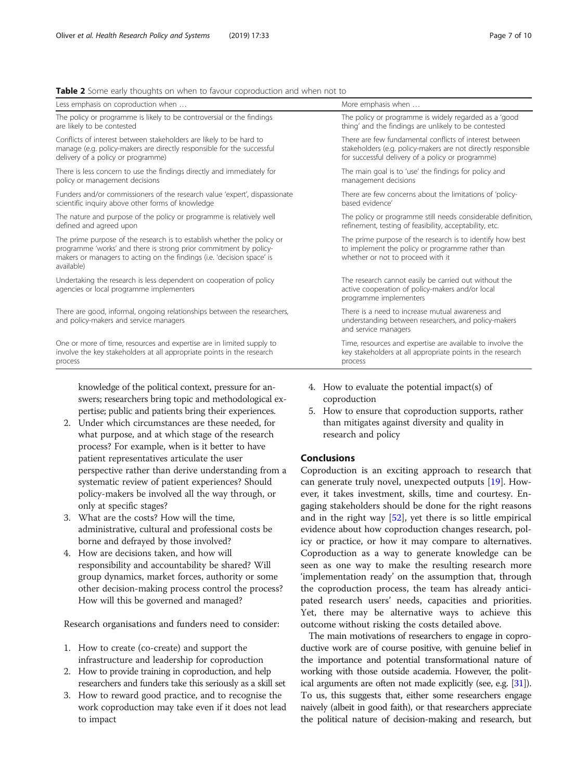<span id="page-6-0"></span>

| Less emphasis on coproduction when                                                                                                                                                                                                   | More emphasis when                                                                                                                                 |  |
|--------------------------------------------------------------------------------------------------------------------------------------------------------------------------------------------------------------------------------------|----------------------------------------------------------------------------------------------------------------------------------------------------|--|
| The policy or programme is likely to be controversial or the findings                                                                                                                                                                | The policy or programme is widely regarded as a 'good                                                                                              |  |
| are likely to be contested                                                                                                                                                                                                           | thing' and the findings are unlikely to be contested                                                                                               |  |
| Conflicts of interest between stakeholders are likely to be hard to                                                                                                                                                                  | There are few fundamental conflicts of interest between                                                                                            |  |
| manage (e.g. policy-makers are directly responsible for the successful                                                                                                                                                               | stakeholders (e.g. policy-makers are not directly responsible                                                                                      |  |
| delivery of a policy or programme)                                                                                                                                                                                                   | for successful delivery of a policy or programme)                                                                                                  |  |
| There is less concern to use the findings directly and immediately for                                                                                                                                                               | The main goal is to 'use' the findings for policy and                                                                                              |  |
| policy or management decisions                                                                                                                                                                                                       | management decisions                                                                                                                               |  |
| Funders and/or commissioners of the research value 'expert', dispassionate                                                                                                                                                           | There are few concerns about the limitations of 'policy-                                                                                           |  |
| scientific inquiry above other forms of knowledge                                                                                                                                                                                    | based evidence'                                                                                                                                    |  |
| The nature and purpose of the policy or programme is relatively well                                                                                                                                                                 | The policy or programme still needs considerable definition,                                                                                       |  |
| defined and agreed upon                                                                                                                                                                                                              | refinement, testing of feasibility, acceptability, etc.                                                                                            |  |
| The prime purpose of the research is to establish whether the policy or<br>programme 'works' and there is strong prior commitment by policy-<br>makers or managers to acting on the findings (i.e. 'decision space' is<br>available) | The prime purpose of the research is to identify how best<br>to implement the policy or programme rather than<br>whether or not to proceed with it |  |
| Undertaking the research is less dependent on cooperation of policy<br>agencies or local programme implementers                                                                                                                      | The research cannot easily be carried out without the<br>active cooperation of policy-makers and/or local<br>programme implementers                |  |
| There are good, informal, ongoing relationships between the researchers,<br>and policy-makers and service managers                                                                                                                   | There is a need to increase mutual awareness and<br>understanding between researchers, and policy-makers<br>and service managers                   |  |
| One or more of time, resources and expertise are in limited supply to                                                                                                                                                                | Time, resources and expertise are available to involve the                                                                                         |  |
| involve the key stakeholders at all appropriate points in the research                                                                                                                                                               | key stakeholders at all appropriate points in the research                                                                                         |  |
| process                                                                                                                                                                                                                              | process                                                                                                                                            |  |

knowledge of the political context, pressure for answers; researchers bring topic and methodological expertise; public and patients bring their experiences.

- 2. Under which circumstances are these needed, for what purpose, and at which stage of the research process? For example, when is it better to have patient representatives articulate the user perspective rather than derive understanding from a systematic review of patient experiences? Should policy-makers be involved all the way through, or only at specific stages?
- 3. What are the costs? How will the time, administrative, cultural and professional costs be borne and defrayed by those involved?
- 4. How are decisions taken, and how will responsibility and accountability be shared? Will group dynamics, market forces, authority or some other decision-making process control the process? How will this be governed and managed?

Research organisations and funders need to consider:

- 1. How to create (co-create) and support the infrastructure and leadership for coproduction
- 2. How to provide training in coproduction, and help researchers and funders take this seriously as a skill set
- 3. How to reward good practice, and to recognise the work coproduction may take even if it does not lead to impact
- 4. How to evaluate the potential impact(s) of coproduction
- 5. How to ensure that coproduction supports, rather than mitigates against diversity and quality in research and policy

## Conclusions

Coproduction is an exciting approach to research that can generate truly novel, unexpected outputs [\[19\]](#page-7-0). However, it takes investment, skills, time and courtesy. Engaging stakeholders should be done for the right reasons and in the right way [\[52\]](#page-8-0), yet there is so little empirical evidence about how coproduction changes research, policy or practice, or how it may compare to alternatives. Coproduction as a way to generate knowledge can be seen as one way to make the resulting research more 'implementation ready' on the assumption that, through the coproduction process, the team has already anticipated research users' needs, capacities and priorities. Yet, there may be alternative ways to achieve this outcome without risking the costs detailed above.

The main motivations of researchers to engage in coproductive work are of course positive, with genuine belief in the importance and potential transformational nature of working with those outside academia. However, the political arguments are often not made explicitly (see, e.g. [\[31](#page-8-0)]). To us, this suggests that, either some researchers engage naively (albeit in good faith), or that researchers appreciate the political nature of decision-making and research, but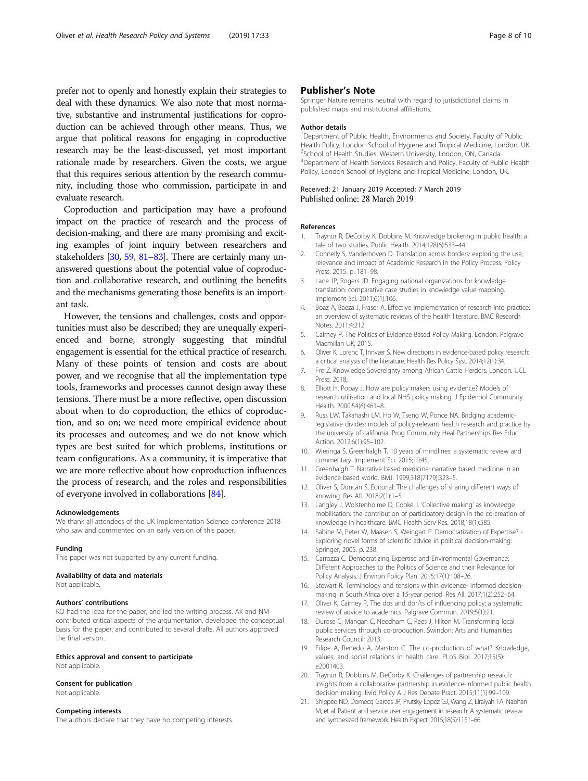<span id="page-7-0"></span>prefer not to openly and honestly explain their strategies to deal with these dynamics. We also note that most normative, substantive and instrumental justifications for coproduction can be achieved through other means. Thus, we argue that political reasons for engaging in coproductive research may be the least-discussed, yet most important rationale made by researchers. Given the costs, we argue that this requires serious attention by the research community, including those who commission, participate in and evaluate research.

Coproduction and participation may have a profound impact on the practice of research and the process of decision-making, and there are many promising and exciting examples of joint inquiry between researchers and stakeholders [\[30,](#page-8-0) [59](#page-8-0), [81](#page-9-0)–[83](#page-9-0)]. There are certainly many unanswered questions about the potential value of coproduction and collaborative research, and outlining the benefits and the mechanisms generating those benefits is an important task.

However, the tensions and challenges, costs and opportunities must also be described; they are unequally experienced and borne, strongly suggesting that mindful engagement is essential for the ethical practice of research. Many of these points of tension and costs are about power, and we recognise that all the implementation type tools, frameworks and processes cannot design away these tensions. There must be a more reflective, open discussion about when to do coproduction, the ethics of coproduction, and so on; we need more empirical evidence about its processes and outcomes; and we do not know which types are best suited for which problems, institutions or team configurations. As a community, it is imperative that we are more reflective about how coproduction influences the process of research, and the roles and responsibilities of everyone involved in collaborations [[84\]](#page-9-0).

#### Acknowledgements

We thank all attendees of the UK Implementation Science conference 2018 who saw and commented on an early version of this paper.

#### Funding

This paper was not supported by any current funding.

#### Availability of data and materials

Not applicable.

#### Authors' contributions

KO had the idea for the paper, and led the writing process. AK and NM contributed critical aspects of the argumentation, developed the conceptual basis for the paper, and contributed to several drafts. All authors approved the final version.

#### Ethics approval and consent to participate Not applicable.

Consent for publication Not applicable.

# Competing interests

The authors declare that they have no competing interests.

#### Publisher's Note

Springer Nature remains neutral with regard to jurisdictional claims in published maps and institutional affiliations.

#### Author details

<sup>1</sup>Department of Public Health, Environments and Society, Faculty of Public Health Policy, London School of Hygiene and Tropical Medicine, London, UK. <sup>2</sup>School of Health Studies, Western University, London, ON, Canada <sup>3</sup>Department of Health Services Research and Policy, Faculty of Public Health Policy, London School of Hygiene and Tropical Medicine, London, UK.

# Received: 21 January 2019 Accepted: 7 March 2019

#### References

- 1. Traynor R, DeCorby K, Dobbins M. Knowledge brokering in public health: a tale of two studies. Public Health. 2014;128(6):533–44.
- 2. Connelly S, Vanderhoven D. Translation across borders: exploring the use, relevance and impact of Academic Research in the Policy Process: Policy Press; 2015. p. 181–98.
- 3. Lane JP, Rogers JD. Engaging national organizations for knowledge translation: comparative case studies in knowledge value mapping. Implement Sci. 2011;6(1):106.
- 4. Boaz A, Baeza J, Fraser A. Effective implementation of research into practice: an overview of systematic reviews of the health literature. BMC Research Notes. 2011;4:212.
- 5. Cairney P. The Politics of Evidence-Based Policy Making. London: Palgrave Macmillan UK; 2015.
- 6. Oliver K, Lorenc T, Innvær S. New directions in evidence-based policy research: a critical analysis of the literature. Health Res Policy Syst. 2014;12(1):34.
- 7. Fre Z. Knowledge Sovereignty among African Cattle Herders. London: UCL Press; 2018.
- 8. Elliott H, Popay J. How are policy makers using evidence? Models of research utilisation and local NHS policy making. J Epidemiol Community Health. 2000;54(6):461–8.
- 9. Russ LW, Takahashi LM, Ho W, Tseng W, Ponce NA. Bridging academiclegislative divides: models of policy-relevant health research and practice by the university of california. Prog Community Heal Partnerships Res Educ Action. 2012;6(1):95–102.
- 10. Wieringa S, Greenhalgh T. 10 years of mindlines: a systematic review and commentary. Implement Sci. 2015;10:45.
- 11. Greenhalgh T. Narrative based medicine: narrative based medicine in an evidence based world. BMJ. 1999;318(7179):323–5.
- 12. Oliver S, Duncan S. Editorial: The challenges of sharing different ways of knowing. Res All. 2018;2(1):1–5.
- 13. Langley J, Wolstenholme D, Cooke J. 'Collective making' as knowledge mobilisation: the contribution of participatory design in the co-creation of knowledge in healthcare. BMC Health Serv Res. 2018;18(1):585.
- 14. Sabine M, Peter W, Maasen S, Weingart P. Democratization of Expertise? Exploring novel forms of scientific advice in political decision-making: Springer; 2005. p. 238.
- 15. Carrozza C. Democratizing Expertise and Environmental Governance: Different Approaches to the Politics of Science and their Relevance for Policy Analysis. J Environ Policy Plan. 2015;17(1):108–26.
- 16. Stewart R. Terminology and tensions within evidence- informed decisionmaking in South Africa over a 15-year period. Res All. 2017;1(2):252–64.
- 17. Oliver K, Cairney P. The dos and don'ts of influencing policy: a systematic review of advice to academics. Palgrave Commun. 2019;5(1):21.
- 18. Durose C, Mangan C, Needham C, Rees J, Hilton M. Transforming local public services through co-production. Swindon: Arts and Humanities Research Council; 2013.
- 19. Filipe A, Renedo A, Marston C. The co-production of what? Knowledge, values, and social relations in health care. PLoS Biol. 2017;15(5): e2001403.
- 20. Traynor R, Dobbins M, DeCorby K. Challenges of partnership research: insights from a collaborative partnership in evidence-informed public health decision making. Evid Policy A J Res Debate Pract. 2015;11(1):99–109.
- 21. Shippee ND, Domecq Garces JP, Prutsky Lopez GJ, Wang Z, Elraiyah TA, Nabhan M, et al. Patient and service user engagement in research: A systematic review and synthesized framework. Health Expect. 2015;18(5):1151–66.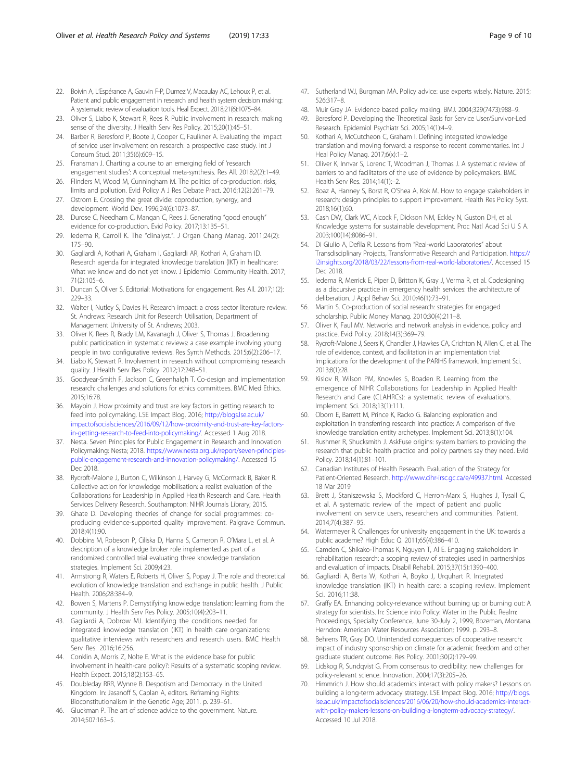- <span id="page-8-0"></span>22. Boivin A, L'Espérance A, Gauvin F-P, Dumez V, Macaulay AC, Lehoux P, et al. Patient and public engagement in research and health system decision making: A systematic review of evaluation tools. Heal Expect. 2018;21(6):1075–84.
- 23. Oliver S, Liabo K, Stewart R, Rees R. Public involvement in research: making sense of the diversity. J Health Serv Res Policy. 2015;20(1):45–51.
- 24. Barber R, Beresford P, Boote J, Cooper C, Faulkner A. Evaluating the impact of service user involvement on research: a prospective case study. Int J Consum Stud. 2011;35(6):609–15.
- 25. Fransman J. Charting a course to an emerging field of 'research engagement studies': A conceptual meta-synthesis. Res All. 2018;2(2):1–49.
- 26. Flinders M, Wood M, Cunningham M. The politics of co-production: risks, limits and pollution. Evid Policy A J Res Debate Pract. 2016;12(2):261–79.
- 27. Ostrom E. Crossing the great divide: coproduction, synergy, and development. World Dev. 1996;24(6):1073–87.
- 28. Durose C, Needham C, Mangan C, Rees J. Generating "good enough" evidence for co-production. Evid Policy. 2017;13:135–51.
- 29. Iedema R, Carroll K. The "clinalyst.". J Organ Chang Manag. 2011;24(2): 175–90.
- 30. Gagliardi A, Kothari A, Graham I, Gagliardi AR, Kothari A, Graham ID. Research agenda for integrated knowledge translation (IKT) in healthcare: What we know and do not yet know. J Epidemiol Community Health. 2017; 71(2):105–6.
- 31. Duncan S, Oliver S. Editorial: Motivations for engagement. Res All. 2017;1(2): 229–33.
- 32. Walter I, Nutley S, Davies H. Research impact: a cross sector literature review. St. Andrews: Research Unit for Research Utilisation, Department of Management University of St. Andrews; 2003.
- 33. Oliver K, Rees R, Brady LM, Kavanagh J, Oliver S, Thomas J. Broadening public participation in systematic reviews: a case example involving young people in two configurative reviews. Res Synth Methods. 2015;6(2):206–17.
- 34. Liabo K, Stewart R. Involvement in research without compromising research quality. J Health Serv Res Policy. 2012;17:248–51.
- 35. Goodyear-Smith F, Jackson C, Greenhalgh T. Co-design and implementation research: challenges and solutions for ethics committees. BMC Med Ethics. 2015;16:78.
- 36. Maybin J. How proximity and trust are key factors in getting research to feed into policymaking. LSE Impact Blog. 2016; [http://blogs.lse.ac.uk/](http://blogs.lse.ac.uk/impactofsocialsciences/2016/09/12/how-proximity-and-trust-are-key-factors-in-getting-research-to-feed-into-policymaking/) [impactofsocialsciences/2016/09/12/how-proximity-and-trust-are-key-factors](http://blogs.lse.ac.uk/impactofsocialsciences/2016/09/12/how-proximity-and-trust-are-key-factors-in-getting-research-to-feed-into-policymaking/)[in-getting-research-to-feed-into-policymaking/.](http://blogs.lse.ac.uk/impactofsocialsciences/2016/09/12/how-proximity-and-trust-are-key-factors-in-getting-research-to-feed-into-policymaking/) Accessed 1 Aug 2018.
- 37. Nesta. Seven Principles for Public Engagement in Research and Innovation Policymaking: Nesta; 2018. [https://www.nesta.org.uk/report/seven-principles](https://www.nesta.org.uk/report/seven-principles-public-engagement-research-and-innovation-policymaking/)[public-engagement-research-and-innovation-policymaking/.](https://www.nesta.org.uk/report/seven-principles-public-engagement-research-and-innovation-policymaking/) Accessed 15 Dec 2018.
- 38. Rycroft-Malone J, Burton C, Wilkinson J, Harvey G, McCormack B, Baker R. Collective action for knowledge mobilisation: a realist evaluation of the Collaborations for Leadership in Applied Health Research and Care. Health Services Delivery Research. Southampton: NIHR Journals Library; 2015.
- 39. Ghate D. Developing theories of change for social programmes: coproducing evidence-supported quality improvement. Palgrave Commun. 2018;4(1):90.
- 40. Dobbins M, Robeson P, Ciliska D, Hanna S, Cameron R, O'Mara L, et al. A description of a knowledge broker role implemented as part of a randomized controlled trial evaluating three knowledge translation strategies. Implement Sci. 2009;4:23.
- 41. Armstrong R, Waters E, Roberts H, Oliver S, Popay J. The role and theoretical evolution of knowledge translation and exchange in public health. J Public Health. 2006;28:384–9.
- 42. Bowen S, Martens P. Demystifying knowledge translation: learning from the community. J Health Serv Res Policy. 2005;10(4):203–11.
- 43. Gagliardi A, Dobrow MJ. Identifying the conditions needed for integrated knowledge translation (IKT) in health care organizations: qualitative interviews with researchers and research users. BMC Health Serv Res. 2016;16:256.
- 44. Conklin A, Morris Z, Nolte E. What is the evidence base for public involvement in health-care policy?: Results of a systematic scoping review. Health Expect. 2015;18(2):153–65.
- 45. Doubleday RRR, Wynne B. Despotism and Democracy in the United Kingdom. In: Jasanoff S, Caplan A, editors. Reframing Rights: Bioconstitutionalism in the Genetic Age; 2011. p. 239–61.
- 46. Gluckman P. The art of science advice to the government. Nature. 2014;507:163–5.
- 47. Sutherland WJ, Burgman MA. Policy advice: use experts wisely. Nature. 2015; 526:317–8.
- 48. Muir Gray JA. Evidence based policy making. BMJ. 2004;329(7473):988–9.
- 49. Beresford P. Developing the Theoretical Basis for Service User/Survivor-Led Research. Epidemiol Psychiatr Sci. 2005;14(1):4–9.
- 50. Kothari A, McCutcheon C, Graham I. Defining integrated knowledge translation and moving forward: a response to recent commentaries. Int J Heal Policy Manag. 2017;6(x):1–2.
- 51. Oliver K, Innvar S, Lorenc T, Woodman J, Thomas J. A systematic review of barriers to and facilitators of the use of evidence by policymakers. BMC Health Serv Res. 2014;14(1):–2.
- 52. Boaz A, Hanney S, Borst R, O'Shea A, Kok M. How to engage stakeholders in research: design principles to support improvement. Health Res Policy Syst. 2018;16(1):60.
- 53. Cash DW, Clark WC, Alcock F, Dickson NM, Eckley N, Guston DH, et al. Knowledge systems for sustainable development. Proc Natl Acad Sci U S A. 2003;100(14):8086–91.
- 54. Di Giulio A, Defila R. Lessons from "Real-world Laboratories" about Transdisciplinary Projects, Transformative Research and Participation. [https://](https://i2insights.org/2018/03/22/lessons-from-real-world-laboratories/) [i2insights.org/2018/03/22/lessons-from-real-world-laboratories/](https://i2insights.org/2018/03/22/lessons-from-real-world-laboratories/). Accessed 15 Dec 2018.
- 55. Iedema R, Merrick E, Piper D, Britton K, Gray J, Verma R, et al. Codesigning as a discursive practice in emergency health services: the architecture of deliberation. J Appl Behav Sci. 2010;46(1):73–91.
- 56. Martin S. Co-production of social research: strategies for engaged scholarship. Public Money Manag. 2010;30(4):211–8.
- 57. Oliver K, Faul MV. Networks and network analysis in evidence, policy and practice. Evid Policy. 2018;14(3):369–79.
- Rycroft-Malone J, Seers K, Chandler J, Hawkes CA, Crichton N, Allen C, et al. The role of evidence, context, and facilitation in an implementation trial: Implications for the development of the PARIHS framework. Implement Sci. 2013;8(1):28.
- 59. Kislov R, Wilson PM, Knowles S, Boaden R. Learning from the emergence of NIHR Collaborations for Leadership in Applied Health Research and Care (CLAHRCs): a systematic review of evaluations. Implement Sci. 2018;13(1):111.
- 60. Oborn E, Barrett M, Prince K, Racko G. Balancing exploration and exploitation in transferring research into practice: A comparison of five knowledge translation entity archetypes. Implement Sci. 2013;8(1):104.
- 61. Rushmer R, Shucksmith J. AskFuse origins: system barriers to providing the research that public health practice and policy partners say they need. Evid Policy. 2018;14(1):81–101.
- 62. Canadian Institutes of Health Reseacrh. Evaluation of the Strategy for Patient-Oriented Research. [http://www.cihr-irsc.gc.ca/e/49937.html.](http://www.cihr-irsc.gc.ca/e/49937.html) Accessed 18 Mar 2019
- 63. Brett J, Staniszewska S, Mockford C, Herron-Marx S, Hughes J, Tysall C, et al. A systematic review of the impact of patient and public involvement on service users, researchers and communities. Patient. 2014;7(4):387–95.
- 64. Watermeyer R. Challenges for university engagement in the UK: towards a public academe? High Educ Q. 2011;65(4):386–410.
- 65. Camden C, Shikako-Thomas K, Nguyen T, Al E. Engaging stakeholders in rehabilitation research: a scoping review of strategies used in partnerships and evaluation of impacts. Disabil Rehabil. 2015;37(15):1390–400.
- 66. Gagliardi A, Berta W, Kothari A, Boyko J, Urquhart R. Integrated knowledge translation (IKT) in health care: a scoping review. Implement Sci. 2016;11:38.
- 67. Graffy EA. Enhancing policy-relevance without burning up or burning out: A strategy for scientists. In: Science into Policy: Water in the Public Realm: Proceedings, Specialty Conference, June 30-July 2, 1999, Bozeman, Montana. Herndon: American Water Resources Association; 1999. p. 293–8.
- 68. Behrens TR, Gray DO. Unintended consequences of cooperative research: impact of industry sponsorship on climate for academic freedom and other graduate student outcome. Res Policy. 2001;30(2):179–99.
- 69. Lidskog R, Sundqvist G. From consensus to credibility: new challenges for policy-relevant science. Innovation. 2004;17(3):205–26.
- 70. Himmrich J. How should academics interact with policy makers? Lessons on building a long-term advocacy strategy. LSE Impact Blog. 2016; [http://blogs.](http://blogs.lse.ac.uk/impactofsocialsciences/2016/06/20/how-should-academics-interact-with-policy-makers-lessons-on-building-a-longterm-advocacy-strategy/) [lse.ac.uk/impactofsocialsciences/2016/06/20/how-should-academics-interact](http://blogs.lse.ac.uk/impactofsocialsciences/2016/06/20/how-should-academics-interact-with-policy-makers-lessons-on-building-a-longterm-advocacy-strategy/)[with-policy-makers-lessons-on-building-a-longterm-advocacy-strategy/](http://blogs.lse.ac.uk/impactofsocialsciences/2016/06/20/how-should-academics-interact-with-policy-makers-lessons-on-building-a-longterm-advocacy-strategy/). Accessed 10 Jul 2018.